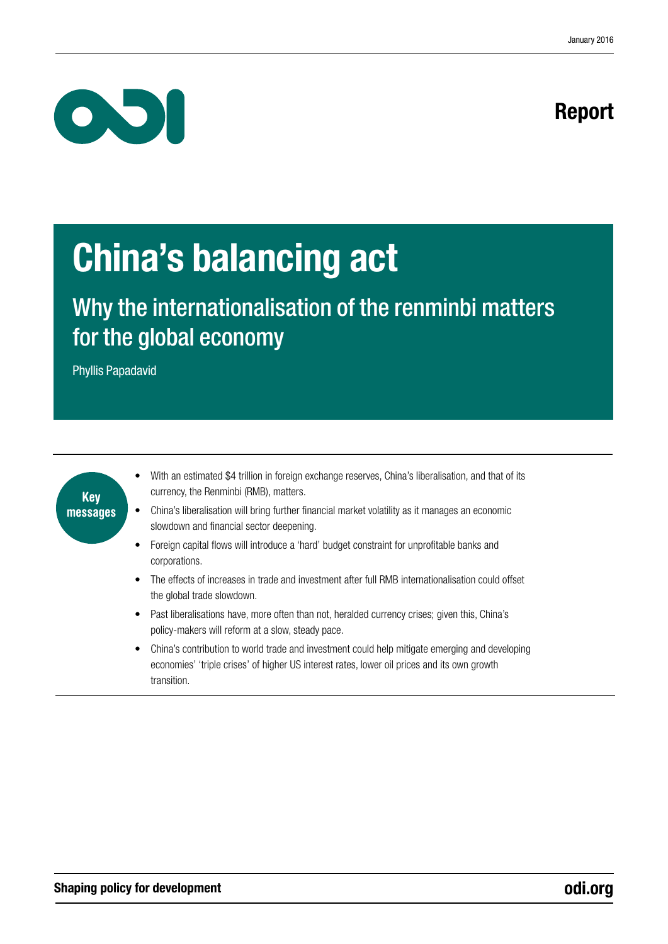# Report



# China's balancing act

Why the internationalisation of the renminbi matters for the global economy

Phyllis Papadavid

| Key      |  |
|----------|--|
| messages |  |
|          |  |

- With an estimated \$4 trillion in foreign exchange reserves, China's liberalisation, and that of its currency, the Renminbi (RMB), matters.
- China's liberalisation will bring further financial market volatility as it manages an economic slowdown and financial sector deepening.
- Foreign capital flows will introduce a 'hard' budget constraint for unprofitable banks and corporations.
- The effects of increases in trade and investment after full RMB internationalisation could offset the global trade slowdown.
- Past liberalisations have, more often than not, heralded currency crises; given this, China's policy-makers will reform at a slow, steady pace.
- China's contribution to world trade and investment could help mitigate emerging and developing economies' 'triple crises' of higher US interest rates, lower oil prices and its own growth transition.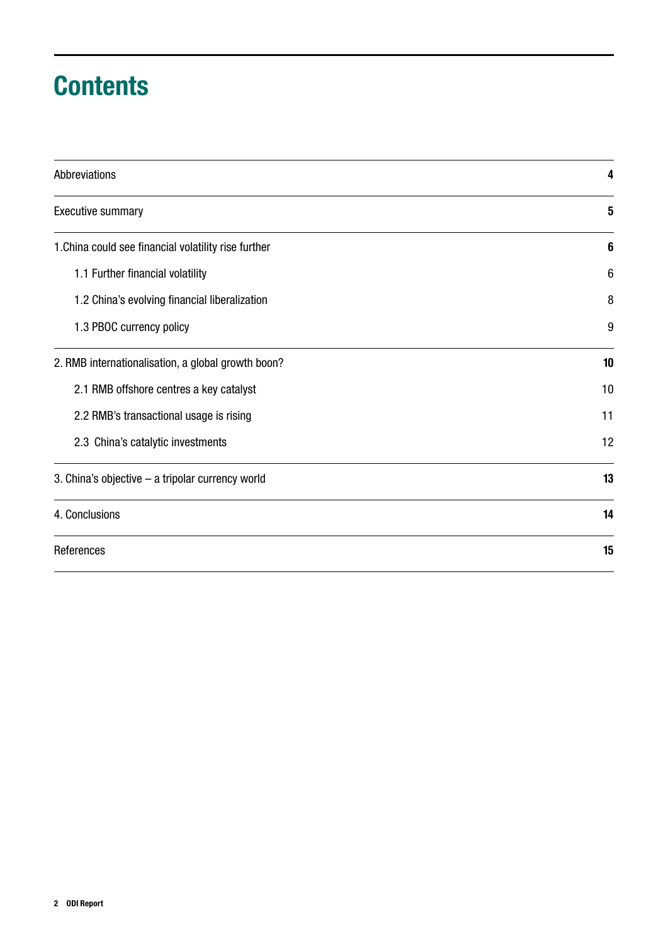# **Contents**

| Abbreviations                                        | 4               |
|------------------------------------------------------|-----------------|
| <b>Executive summary</b>                             | 5               |
| 1. China could see financial volatility rise further | 6               |
| 1.1 Further financial volatility                     | $6\phantom{1}6$ |
| 1.2 China's evolving financial liberalization        | 8               |
| 1.3 PBOC currency policy                             | 9               |
| 2. RMB internationalisation, a global growth boon?   | 10              |
| 2.1 RMB offshore centres a key catalyst              | 10              |
| 2.2 RMB's transactional usage is rising              | 11              |
| 2.3 China's catalytic investments                    | 12              |
| 3. China's objective - a tripolar currency world     | 13              |
| 4. Conclusions                                       | 14              |
| References                                           | 15              |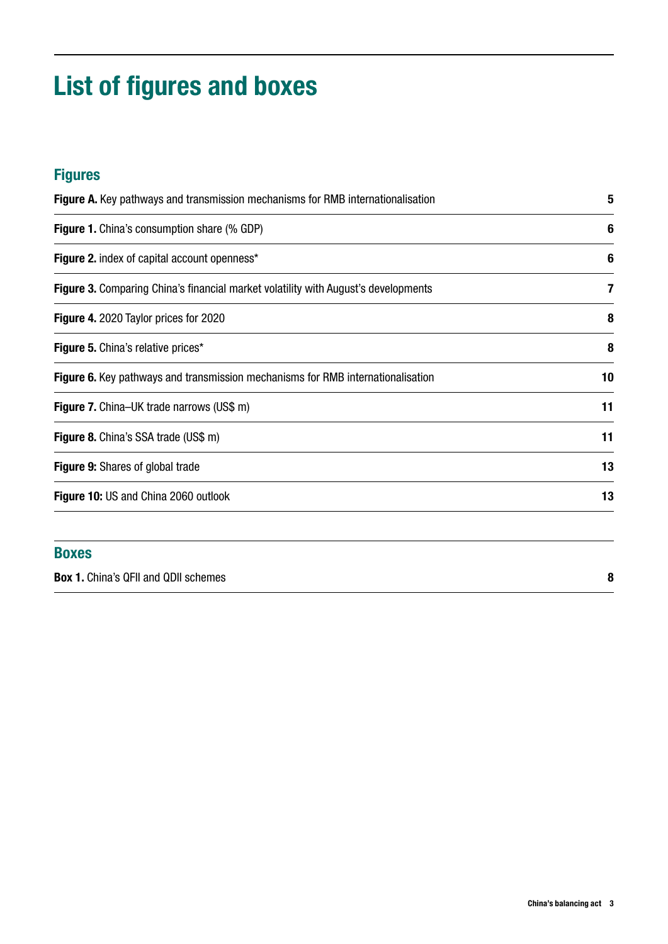# List of figures and boxes

## Figures

| <b>Figure A.</b> Key pathways and transmission mechanisms for RMB internationalisation    | 5  |
|-------------------------------------------------------------------------------------------|----|
| <b>Figure 1.</b> China's consumption share (% GDP)                                        | 6  |
| <b>Figure 2.</b> index of capital account openness*                                       | 6  |
| <b>Figure 3.</b> Comparing China's financial market volatility with August's developments | 7  |
| Figure 4. 2020 Taylor prices for 2020                                                     | 8  |
| Figure 5. China's relative prices*                                                        | 8  |
| <b>Figure 6.</b> Key pathways and transmission mechanisms for RMB internationalisation    | 10 |
| <b>Figure 7.</b> China–UK trade narrows (US\$ m)                                          | 11 |
| <b>Figure 8.</b> China's SSA trade (US\$ m)                                               | 11 |
| <b>Figure 9:</b> Shares of global trade                                                   | 13 |
| Figure 10: US and China 2060 outlook                                                      | 13 |

### Boxes

Box 1. [China's QFII and QDII schemes](#page-7-0) 8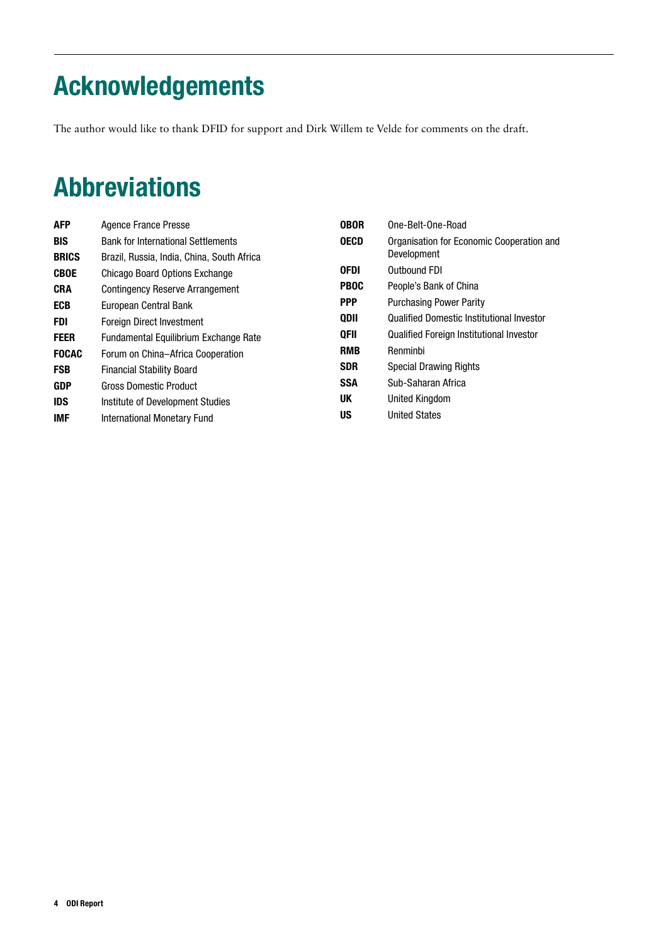# <span id="page-3-0"></span>Acknowledgements

The author would like to thank DFID for support and Dirk Willem te Velde for comments on the draft.

# Abbreviations

| <b>AFP</b>   | Agence France Presse                       | <b>OBOR</b> | One-Belt-One-Road                                |
|--------------|--------------------------------------------|-------------|--------------------------------------------------|
| <b>BIS</b>   | <b>Bank for International Settlements</b>  | <b>OECD</b> | Organisation for Economic Cooperation and        |
| <b>BRICS</b> | Brazil, Russia, India, China, South Africa |             | Development                                      |
| <b>CBOE</b>  | Chicago Board Options Exchange             | <b>OFDI</b> | Outbound FDI                                     |
| <b>CRA</b>   | <b>Contingency Reserve Arrangement</b>     | <b>PBOC</b> | People's Bank of China                           |
| <b>ECB</b>   | European Central Bank                      | <b>PPP</b>  | <b>Purchasing Power Parity</b>                   |
| FDI          | <b>Foreign Direct Investment</b>           | QDII        | <b>Qualified Domestic Institutional Investor</b> |
| <b>FEER</b>  | Fundamental Equilibrium Exchange Rate      | <b>QFII</b> | <b>Qualified Foreign Institutional Investor</b>  |
| <b>FOCAC</b> | Forum on China-Africa Cooperation          | <b>RMB</b>  | Renminbi                                         |
| <b>FSB</b>   | <b>Financial Stability Board</b>           | <b>SDR</b>  | <b>Special Drawing Rights</b>                    |
| <b>GDP</b>   | <b>Gross Domestic Product</b>              | <b>SSA</b>  | Sub-Saharan Africa                               |
| <b>IDS</b>   | Institute of Development Studies           | UK          | United Kingdom                                   |
| <b>IMF</b>   | International Monetary Fund                | US          | <b>United States</b>                             |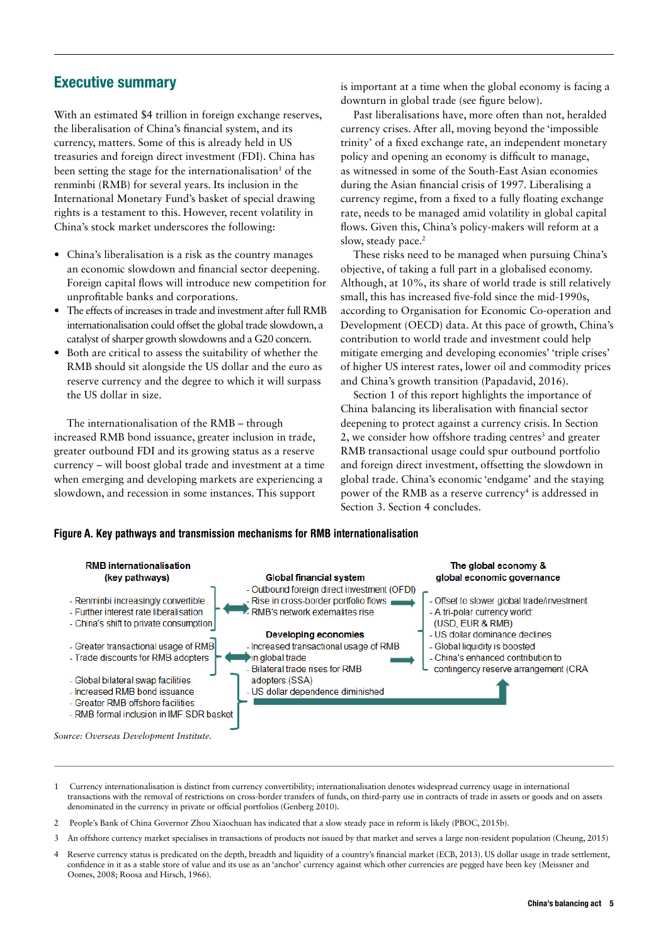### <span id="page-4-0"></span>Executive summary

With an estimated \$4 trillion in foreign exchange reserves, the liberalisation of China's financial system, and its currency, matters. Some of this is already held in US treasuries and foreign direct investment (FDI). China has been setting the stage for the internationalisation<sup>1</sup> of the renminbi (RMB) for several years. Its inclusion in the International Monetary Fund's basket of special drawing rights is a testament to this. However, recent volatility in China's stock market underscores the following:

- **•** China's liberalisation is a risk as the country manages an economic slowdown and financial sector deepening. Foreign capital flows will introduce new competition for unprofitable banks and corporations.
- **•** The effects of increases in trade and investment after full RMB internationalisation could offset the global trade slowdown, a catalyst of sharper growth slowdowns and a G20 concern.
- **•** Both are critical to assess the suitability of whether the RMB should sit alongside the US dollar and the euro as reserve currency and the degree to which it will surpass the US dollar in size.

The internationalisation of the RMB – through increased RMB bond issuance, greater inclusion in trade, greater outbound FDI and its growing status as a reserve currency – will boost global trade and investment at a time when emerging and developing markets are experiencing a slowdown, and recession in some instances. This support

is important at a time when the global economy is facing a downturn in global trade (see figure below).

Past liberalisations have, more often than not, heralded currency crises. After all, moving beyond the 'impossible trinity' of a fixed exchange rate, an independent monetary policy and opening an economy is difficult to manage, as witnessed in some of the South-East Asian economies during the Asian financial crisis of 1997. Liberalising a currency regime, from a fixed to a fully floating exchange rate, needs to be managed amid volatility in global capital flows. Given this, China's policy-makers will reform at a slow, steady pace.<sup>2</sup>

These risks need to be managed when pursuing China's objective, of taking a full part in a globalised economy. Although, at 10%, its share of world trade is still relatively small, this has increased five-fold since the mid-1990s, according to Organisation for Economic Co-operation and Development (OECD) data. At this pace of growth, China's contribution to world trade and investment could help mitigate emerging and developing economies' 'triple crises' of higher US interest rates, lower oil and commodity prices and China's growth transition (Papadavid, 2016).

Section 1 of this report highlights the importance of China balancing its liberalisation with financial sector deepening to protect against a currency crisis. In Section 2, we consider how offshore trading centres<sup>3</sup> and greater RMB transactional usage could spur outbound portfolio and foreign direct investment, offsetting the slowdown in global trade. China's economic 'endgame' and the staying power of the RMB as a reserve currency<sup>4</sup> is addressed in Section 3. Section 4 concludes.

#### Figure A. Key pathways and transmission mechanisms for RMB internationalisation



- 1 Currency internationalisation is distinct from currency convertibility; internationalisation denotes widespread currency usage in international transactions with the removal of restrictions on cross-border transfers of funds, on third-party use in contracts of trade in assets or goods and on assets denominated in the currency in private or official portfolios (Genberg 2010).
- 2 People's Bank of China Governor Zhou Xiaochuan has indicated that a slow steady pace in reform is likely (PBOC, 2015b).
- 3 An offshore currency market specialises in transactions of products not issued by that market and serves a large non-resident population (Cheung, 2015)
- 4 Reserve currency status is predicated on the depth, breadth and liquidity of a country's financial market (ECB, 2013). US dollar usage in trade settlement, confidence in it as a stable store of value and its use as an 'anchor' currency against which other currencies are pegged have been key (Meissner and Oomes, 2008; Roosa and Hirsch, 1966).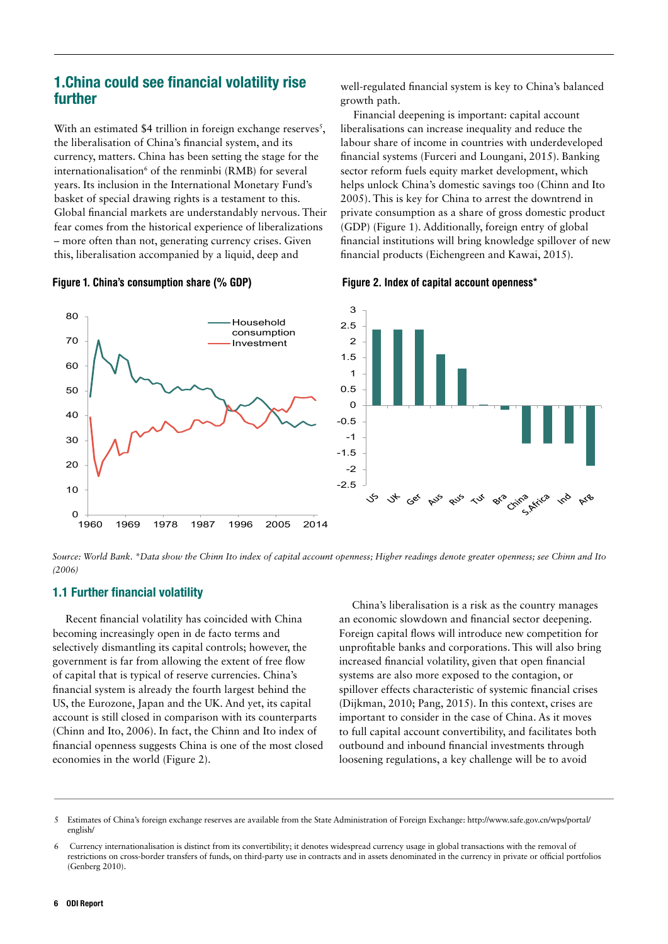### <span id="page-5-0"></span>1.China could see financial volatility rise further

With an estimated \$4 trillion in foreign exchange reserves $<sup>5</sup>$ ,</sup> the liberalisation of China's financial system, and its currency, matters. China has been setting the stage for the internationalisation<sup>6</sup> of the renminbi (RMB) for several years. Its inclusion in the International Monetary Fund's basket of special drawing rights is a testament to this. Global financial markets are understandably nervous. Their fear comes from the historical experience of liberalizations – more often than not, generating currency crises. Given this, liberalisation accompanied by a liquid, deep and

well-regulated financial system is key to China's balanced growth path.

Financial deepening is important: capital account liberalisations can increase inequality and reduce the labour share of income in countries with underdeveloped financial systems (Furceri and Loungani, 2015). Banking sector reform fuels equity market development, which helps unlock China's domestic savings too (Chinn and Ito 2005). This is key for China to arrest the downtrend in private consumption as a share of gross domestic product (GDP) (Figure 1). Additionally, foreign entry of global financial institutions will bring knowledge spillover of new financial products (Eichengreen and Kawai, 2015).





*Source: World Bank. \*Data show the Chinn Ito index of capital account openness; Higher readings denote greater openness; see Chinn and Ito (2006)*

#### 1.1 Further financial volatility

Recent financial volatility has coincided with China becoming increasingly open in de facto terms and selectively dismantling its capital controls; however, the government is far from allowing the extent of free flow of capital that is typical of reserve currencies. China's financial system is already the fourth largest behind the US, the Eurozone, Japan and the UK. And yet, its capital account is still closed in comparison with its counterparts (Chinn and Ito, 2006). In fact, the Chinn and Ito index of financial openness suggests China is one of the most closed economies in the world (Figure 2).

China's liberalisation is a risk as the country manages an economic slowdown and financial sector deepening. Foreign capital flows will introduce new competition for unprofitable banks and corporations. This will also bring increased financial volatility, given that open financial systems are also more exposed to the contagion, or spillover effects characteristic of systemic financial crises (Dijkman, 2010; Pang, 2015). In this context, crises are important to consider in the case of China. As it moves to full capital account convertibility, and facilitates both outbound and inbound financial investments through loosening regulations, a key challenge will be to avoid

<sup>5</sup> Estimates of China's foreign exchange reserves are available from the State Administration of Foreign Exchange: http://www.safe.gov.cn/wps/portal/ english/

<sup>6</sup> Currency internationalisation is distinct from its convertibility; it denotes widespread currency usage in global transactions with the removal of restrictions on cross-border transfers of funds, on third-party use in contracts and in assets denominated in the currency in private or official portfolios (Genberg 2010).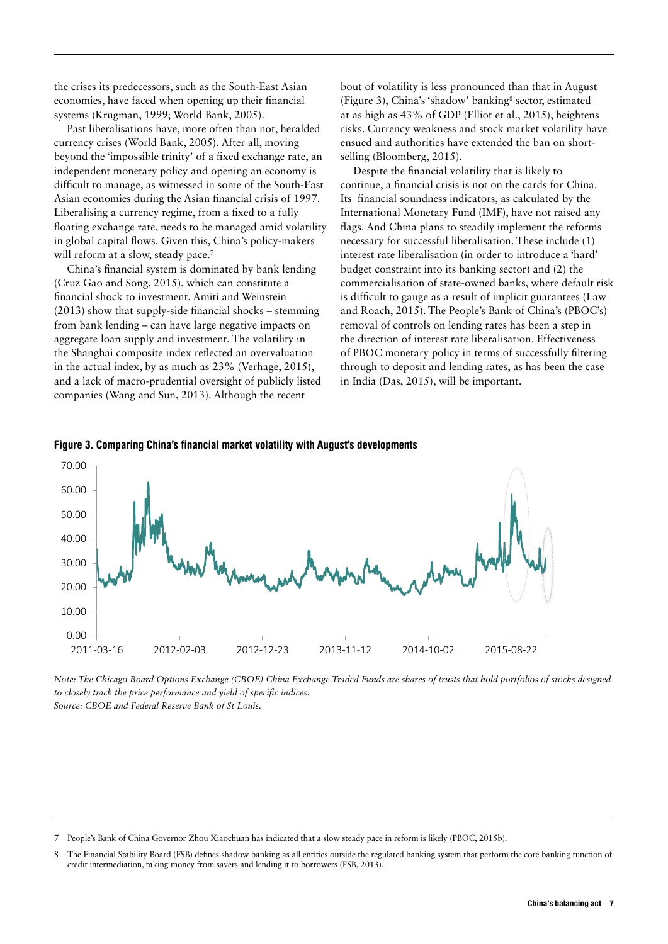<span id="page-6-0"></span>the crises its predecessors, such as the South-East Asian economies, have faced when opening up their financial systems (Krugman, 1999; World Bank, 2005).

Past liberalisations have, more often than not, heralded currency crises (World Bank, 2005). After all, moving beyond the 'impossible trinity' of a fixed exchange rate, an independent monetary policy and opening an economy is difficult to manage, as witnessed in some of the South-East Asian economies during the Asian financial crisis of 1997. Liberalising a currency regime, from a fixed to a fully floating exchange rate, needs to be managed amid volatility in global capital flows. Given this, China's policy-makers will reform at a slow, steady pace.<sup>7</sup>

China's financial system is dominated by bank lending (Cruz Gao and Song, 2015), which can constitute a financial shock to investment. Amiti and Weinstein (2013) show that supply-side financial shocks – stemming from bank lending – can have large negative impacts on aggregate loan supply and investment. The volatility in the Shanghai composite index reflected an overvaluation in the actual index, by as much as 23% (Verhage, 2015), and a lack of macro-prudential oversight of publicly listed companies (Wang and Sun, 2013). Although the recent

bout of volatility is less pronounced than that in August (Figure 3), China's 'shadow' banking<sup>8</sup> sector, estimated at as high as 43% of GDP (Elliot et al., 2015), heightens risks. Currency weakness and stock market volatility have ensued and authorities have extended the ban on shortselling (Bloomberg, 2015).

Despite the financial volatility that is likely to continue, a financial crisis is not on the cards for China. Its financial soundness indicators, as calculated by the International Monetary Fund (IMF), have not raised any flags. And China plans to steadily implement the reforms necessary for successful liberalisation. These include (1) interest rate liberalisation (in order to introduce a 'hard' budget constraint into its banking sector) and (2) the commercialisation of state-owned banks, where default risk is difficult to gauge as a result of implicit guarantees (Law and Roach, 2015). The People's Bank of China's (PBOC's) removal of controls on lending rates has been a step in the direction of interest rate liberalisation. Effectiveness of PBOC monetary policy in terms of successfully filtering through to deposit and lending rates, as has been the case in India (Das, 2015), will be important.





*Note: The Chicago Board Options Exchange (CBOE) China Exchange Traded Funds are shares of trusts that hold portfolios of stocks designed to closely track the price performance and yield of specific indices. Source: CBOE and Federal Reserve Bank of St Louis.*

7 People's Bank of China Governor Zhou Xiaochuan has indicated that a slow steady pace in reform is likely (PBOC, 2015b).

<sup>8</sup> The Financial Stability Board (FSB) defines shadow banking as all entities outside the regulated banking system that perform the core banking function of credit intermediation, taking money from savers and lending it to borrowers (FSB, 2013).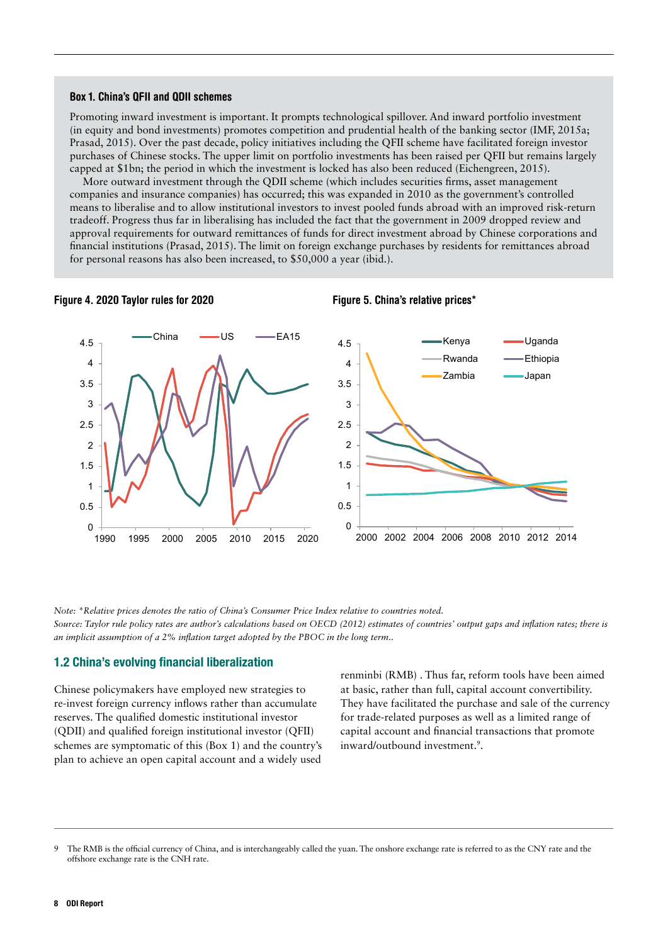#### <span id="page-7-0"></span>Box 1. China's QFII and QDII schemes

Promoting inward investment is important. It prompts technological spillover. And inward portfolio investment (in equity and bond investments) promotes competition and prudential health of the banking sector (IMF, 2015a; Prasad, 2015). Over the past decade, policy initiatives including the QFII scheme have facilitated foreign investor purchases of Chinese stocks. The upper limit on portfolio investments has been raised per QFII but remains largely capped at \$1bn; the period in which the investment is locked has also been reduced (Eichengreen, 2015).

More outward investment through the QDII scheme (which includes securities firms, asset management companies and insurance companies) has occurred; this was expanded in 2010 as the government's controlled means to liberalise and to allow institutional investors to invest pooled funds abroad with an improved risk-return tradeoff. Progress thus far in liberalising has included the fact that the government in 2009 dropped review and approval requirements for outward remittances of funds for direct investment abroad by Chinese corporations and financial institutions (Prasad, 2015). The limit on foreign exchange purchases by residents for remittances abroad for personal reasons has also been increased, to \$50,000 a year (ibid.).



*Note: \*Relative prices denotes the ratio of China's Consumer Price Index relative to countries noted. Source: Taylor rule policy rates are author's calculations based on OECD (2012) estimates of countries' output gaps and inflation rates; there is an implicit assumption of a 2% inflation target adopted by the PBOC in the long term..*

#### 1.2 China's evolving financial liberalization

Chinese policymakers have employed new strategies to re-invest foreign currency inflows rather than accumulate reserves. The qualified domestic institutional investor (QDII) and qualified foreign institutional investor (QFII) schemes are symptomatic of this (Box 1) and the country's plan to achieve an open capital account and a widely used

renminbi (RMB) . Thus far, reform tools have been aimed at basic, rather than full, capital account convertibility. They have facilitated the purchase and sale of the currency for trade-related purposes as well as a limited range of capital account and financial transactions that promote inward/outbound investment.<sup>9</sup>.

The RMB is the official currency of China, and is interchangeably called the yuan. The onshore exchange rate is referred to as the CNY rate and the offshore exchange rate is the CNH rate.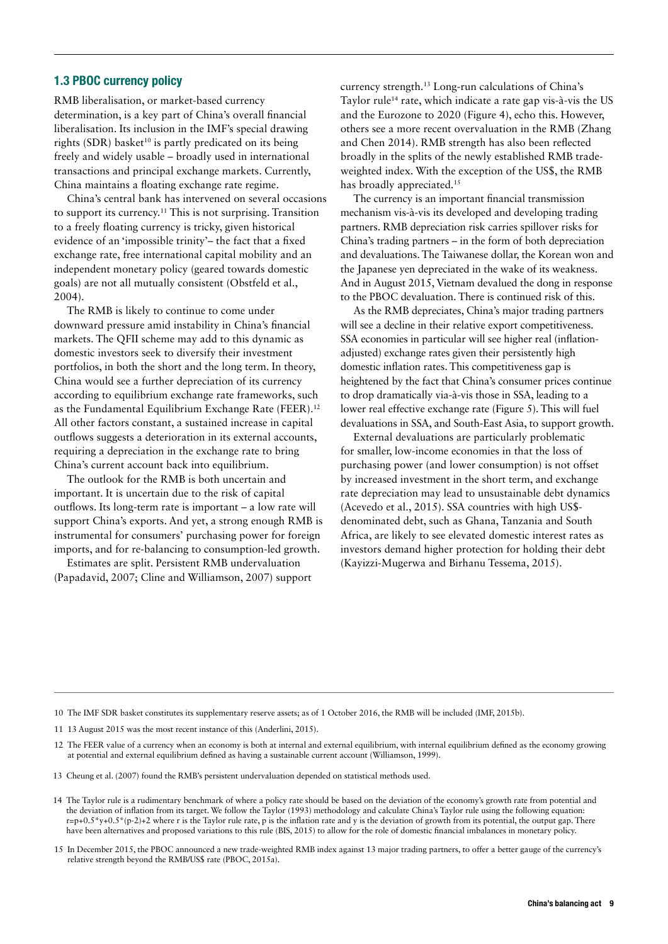### <span id="page-8-0"></span>1.3 PBOC currency policy

RMB liberalisation, or market-based currency determination, is a key part of China's overall financial liberalisation. Its inclusion in the IMF's special drawing rights (SDR) basket<sup>10</sup> is partly predicated on its being freely and widely usable – broadly used in international transactions and principal exchange markets. Currently, China maintains a floating exchange rate regime.

China's central bank has intervened on several occasions to support its currency.11 This is not surprising. Transition to a freely floating currency is tricky, given historical evidence of an 'impossible trinity'– the fact that a fixed exchange rate, free international capital mobility and an independent monetary policy (geared towards domestic goals) are not all mutually consistent (Obstfeld et al., 2004).

The RMB is likely to continue to come under downward pressure amid instability in China's financial markets. The QFII scheme may add to this dynamic as domestic investors seek to diversify their investment portfolios, in both the short and the long term. In theory, China would see a further depreciation of its currency according to equilibrium exchange rate frameworks, such as the Fundamental Equilibrium Exchange Rate (FEER).<sup>12</sup> All other factors constant, a sustained increase in capital outflows suggests a deterioration in its external accounts, requiring a depreciation in the exchange rate to bring China's current account back into equilibrium.

The outlook for the RMB is both uncertain and important. It is uncertain due to the risk of capital outflows. Its long-term rate is important – a low rate will support China's exports. And yet, a strong enough RMB is instrumental for consumers' purchasing power for foreign imports, and for re-balancing to consumption-led growth.

Estimates are split. Persistent RMB undervaluation (Papadavid, 2007; Cline and Williamson, 2007) support currency strength.13 Long-run calculations of China's Taylor rule<sup>14</sup> rate, which indicate a rate gap vis-à-vis the US and the Eurozone to 2020 (Figure 4), echo this. However, others see a more recent overvaluation in the RMB (Zhang and Chen 2014). RMB strength has also been reflected broadly in the splits of the newly established RMB tradeweighted index. With the exception of the US\$, the RMB has broadly appreciated.<sup>15</sup>

The currency is an important financial transmission mechanism vis-à-vis its developed and developing trading partners. RMB depreciation risk carries spillover risks for China's trading partners – in the form of both depreciation and devaluations. The Taiwanese dollar, the Korean won and the Japanese yen depreciated in the wake of its weakness. And in August 2015, Vietnam devalued the dong in response to the PBOC devaluation. There is continued risk of this.

As the RMB depreciates, China's major trading partners will see a decline in their relative export competitiveness. SSA economies in particular will see higher real (inflationadjusted) exchange rates given their persistently high domestic inflation rates. This competitiveness gap is heightened by the fact that China's consumer prices continue to drop dramatically via-à-vis those in SSA, leading to a lower real effective exchange rate (Figure 5). This will fuel devaluations in SSA, and South-East Asia, to support growth.

External devaluations are particularly problematic for smaller, low-income economies in that the loss of purchasing power (and lower consumption) is not offset by increased investment in the short term, and exchange rate depreciation may lead to unsustainable debt dynamics (Acevedo et al., 2015). SSA countries with high US\$ denominated debt, such as Ghana, Tanzania and South Africa, are likely to see elevated domestic interest rates as investors demand higher protection for holding their debt (Kayizzi-Mugerwa and Birhanu Tessema, 2015).

<sup>10</sup> The IMF SDR basket constitutes its supplementary reserve assets; as of 1 October 2016, the RMB will be included (IMF, 2015b).

<sup>11</sup> 13 August 2015 was the most recent instance of this (Anderlini, 2015).

<sup>12</sup> The FEER value of a currency when an economy is both at internal and external equilibrium, with internal equilibrium defined as the economy growing at potential and external equilibrium defined as having a sustainable current account (Williamson, 1999).

<sup>13</sup> Cheung et al. (2007) found the RMB's persistent undervaluation depended on statistical methods used.

<sup>14</sup> The Taylor rule is a rudimentary benchmark of where a policy rate should be based on the deviation of the economy's growth rate from potential and the deviation of inflation from its target. We follow the Taylor (1993) methodology and calculate China's Taylor rule using the following equation:  $r=p+0.5*y+0.5*(p-2)+2$  where r is the Taylor rule rate, p is the inflation rate and y is the deviation of growth from its potential, the output gap. There have been alternatives and proposed variations to this rule (BIS, 2015) to allow for the role of domestic financial imbalances in monetary policy.

<sup>15</sup> In December 2015, the PBOC announced a new trade-weighted RMB index against 13 major trading partners, to offer a better gauge of the currency's relative strength beyond the RMB/US\$ rate (PBOC, 2015a).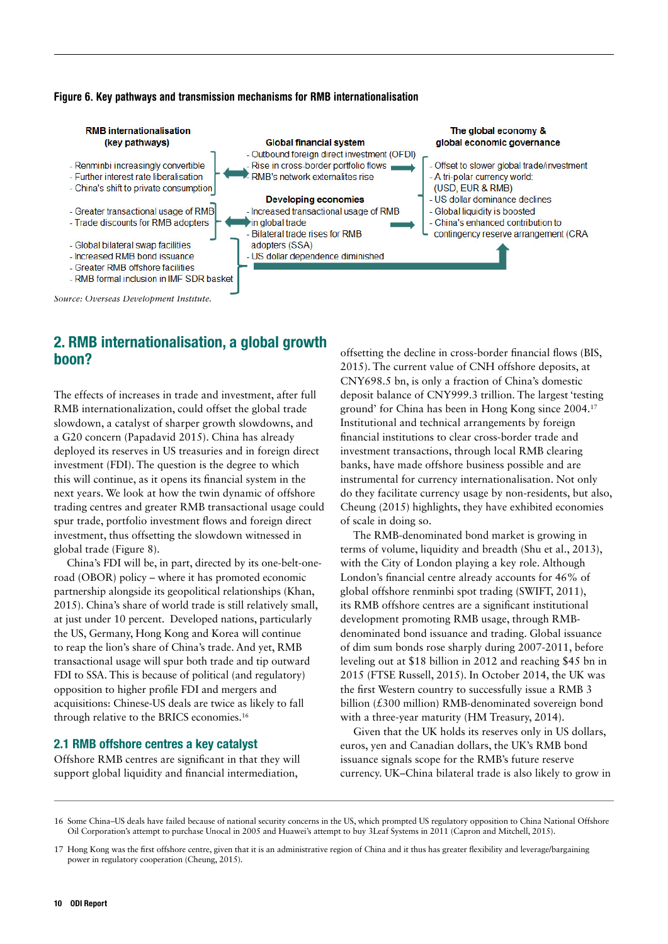#### <span id="page-9-0"></span>Figure 6. Key pathways and transmission mechanisms for RMB internationalisation



*Source: Overseas Development Institute.* 

### 2. RMB internationalisation, a global growth boon?

The effects of increases in trade and investment, after full RMB internationalization, could offset the global trade slowdown, a catalyst of sharper growth slowdowns, and a G20 concern (Papadavid 2015). China has already deployed its reserves in US treasuries and in foreign direct investment (FDI). The question is the degree to which this will continue, as it opens its financial system in the next years. We look at how the twin dynamic of offshore trading centres and greater RMB transactional usage could spur trade, portfolio investment flows and foreign direct investment, thus offsetting the slowdown witnessed in global trade (Figure 8).

China's FDI will be, in part, directed by its one-belt-oneroad (OBOR) policy – where it has promoted economic partnership alongside its geopolitical relationships (Khan, 2015). China's share of world trade is still relatively small, at just under 10 percent. Developed nations, particularly the US, Germany, Hong Kong and Korea will continue to reap the lion's share of China's trade. And yet, RMB transactional usage will spur both trade and tip outward FDI to SSA. This is because of political (and regulatory) opposition to higher profile FDI and mergers and acquisitions: Chinese-US deals are twice as likely to fall through relative to the BRICS economies.16

#### 2.1 RMB offshore centres a key catalyst

Offshore RMB centres are significant in that they will support global liquidity and financial intermediation,

offsetting the decline in cross-border financial flows (BIS, 2015). The current value of CNH offshore deposits, at CNY698.5 bn, is only a fraction of China's domestic deposit balance of CNY999.3 trillion. The largest 'testing ground' for China has been in Hong Kong since 2004.17 Institutional and technical arrangements by foreign financial institutions to clear cross-border trade and investment transactions, through local RMB clearing banks, have made offshore business possible and are instrumental for currency internationalisation. Not only do they facilitate currency usage by non-residents, but also, Cheung (2015) highlights, they have exhibited economies of scale in doing so.

The RMB-denominated bond market is growing in terms of volume, liquidity and breadth (Shu et al., 2013), with the City of London playing a key role. Although London's financial centre already accounts for 46% of global offshore renminbi spot trading (SWIFT, 2011), its RMB offshore centres are a significant institutional development promoting RMB usage, through RMBdenominated bond issuance and trading. Global issuance of dim sum bonds rose sharply during 2007-2011, before leveling out at \$18 billion in 2012 and reaching \$45 bn in 2015 (FTSE Russell, 2015). In October 2014, the UK was the first Western country to successfully issue a RMB 3 billion (£300 million) RMB-denominated sovereign bond with a three-year maturity (HM Treasury, 2014).

Given that the UK holds its reserves only in US dollars, euros, yen and Canadian dollars, the UK's RMB bond issuance signals scope for the RMB's future reserve currency. UK–China bilateral trade is also likely to grow in

<sup>16</sup> Some China–US deals have failed because of national security concerns in the US, which prompted US regulatory opposition to China National Offshore Oil Corporation's attempt to purchase Unocal in 2005 and Huawei's attempt to buy 3Leaf Systems in 2011 (Capron and Mitchell, 2015).

<sup>17</sup> Hong Kong was the first offshore centre, given that it is an administrative region of China and it thus has greater flexibility and leverage/bargaining power in regulatory cooperation (Cheung, 2015).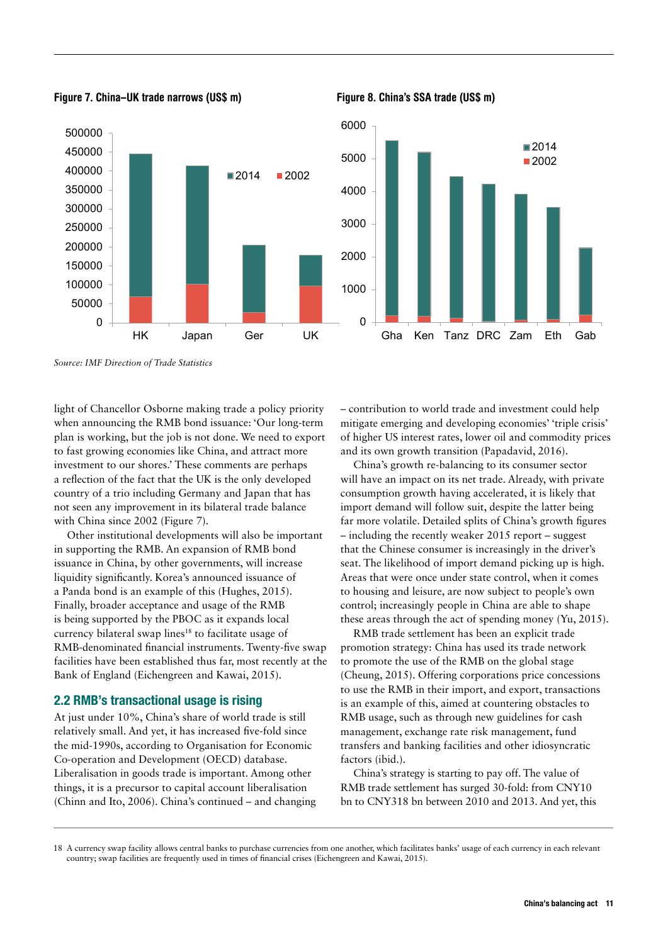

<span id="page-10-0"></span>



*Source: IMF Direction of Trade Statistics*

 $\Omega$ 

light of Chancellor Osborne making trade a policy priority when announcing the RMB bond issuance: 'Our long-term plan is working, but the job is not done. We need to export to fast growing economies like China, and attract more investment to our shores.' These comments are perhaps a reflection of the fact that the UK is the only developed country of a trio including Germany and Japan that has not seen any improvement in its bilateral trade balance with China since 2002 (Figure 7).

Other institutional developments will also be important in supporting the RMB. An expansion of RMB bond issuance in China, by other governments, will increase liquidity significantly. Korea's announced issuance of a Panda bond is an example of this (Hughes, 2015). Finally, broader acceptance and usage of the RMB is being supported by the PBOC as it expands local currency bilateral swap lines<sup>18</sup> to facilitate usage of RMB-denominated financial instruments. Twenty-five swap facilities have been established thus far, most recently at the Bank of England (Eichengreen and Kawai, 2015).

#### 2.2 RMB's transactional usage is rising

At just under 10%, China's share of world trade is still relatively small. And yet, it has increased five-fold since the mid-1990s, according to Organisation for Economic Co-operation and Development (OECD) database. Liberalisation in goods trade is important. Among other things, it is a precursor to capital account liberalisation (Chinn and Ito, 2006). China's continued – and changing – contribution to world trade and investment could help mitigate emerging and developing economies' 'triple crisis' of higher US interest rates, lower oil and commodity prices and its own growth transition (Papadavid, 2016).

China's growth re-balancing to its consumer sector will have an impact on its net trade. Already, with private consumption growth having accelerated, it is likely that import demand will follow suit, despite the latter being far more volatile. Detailed splits of China's growth figures – including the recently weaker 2015 report – suggest that the Chinese consumer is increasingly in the driver's seat. The likelihood of import demand picking up is high. Areas that were once under state control, when it comes to housing and leisure, are now subject to people's own control; increasingly people in China are able to shape these areas through the act of spending money (Yu, 2015).

RMB trade settlement has been an explicit trade promotion strategy: China has used its trade network to promote the use of the RMB on the global stage (Cheung, 2015). Offering corporations price concessions to use the RMB in their import, and export, transactions is an example of this, aimed at countering obstacles to RMB usage, such as through new guidelines for cash management, exchange rate risk management, fund transfers and banking facilities and other idiosyncratic factors (ibid.).

China's strategy is starting to pay off. The value of RMB trade settlement has surged 30-fold: from CNY10 bn to CNY318 bn between 2010 and 2013. And yet, this

<sup>18</sup> A currency swap facility allows central banks to purchase currencies from one another, which facilitates banks' usage of each currency in each relevant country; swap facilities are frequently used in times of financial crises (Eichengreen and Kawai, 2015).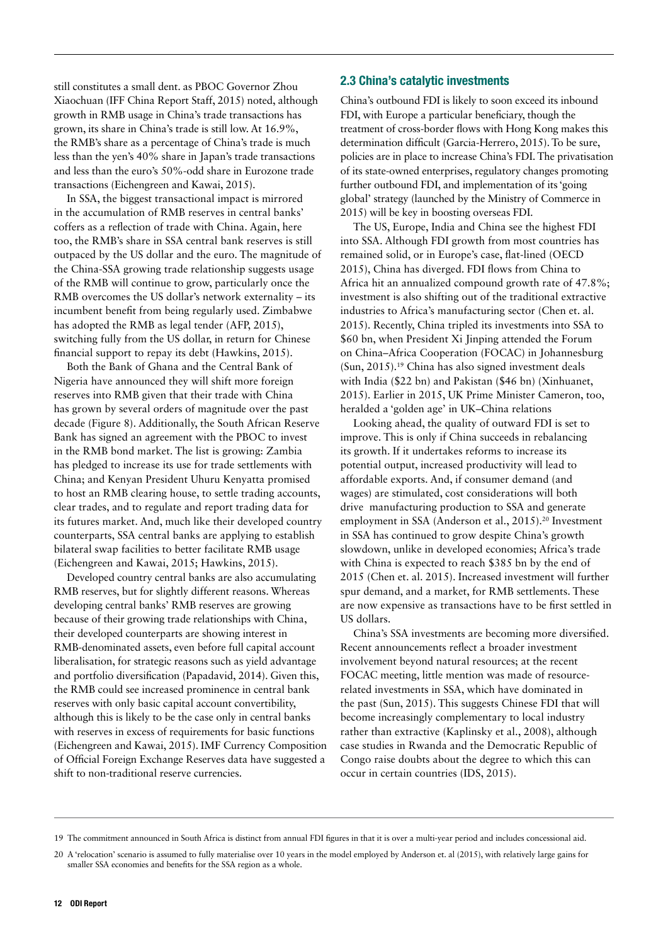<span id="page-11-0"></span>still constitutes a small dent. as PBOC Governor Zhou Xiaochuan (IFF China Report Staff, 2015) noted, although growth in RMB usage in China's trade transactions has grown, its share in China's trade is still low. At 16.9%, the RMB's share as a percentage of China's trade is much less than the yen's 40% share in Japan's trade transactions and less than the euro's 50%-odd share in Eurozone trade transactions (Eichengreen and Kawai, 2015).

In SSA, the biggest transactional impact is mirrored in the accumulation of RMB reserves in central banks' coffers as a reflection of trade with China. Again, here too, the RMB's share in SSA central bank reserves is still outpaced by the US dollar and the euro. The magnitude of the China-SSA growing trade relationship suggests usage of the RMB will continue to grow, particularly once the RMB overcomes the US dollar's network externality – its incumbent benefit from being regularly used. Zimbabwe has adopted the RMB as legal tender (AFP, 2015), switching fully from the US dollar, in return for Chinese financial support to repay its debt (Hawkins, 2015).

Both the Bank of Ghana and the Central Bank of Nigeria have announced they will shift more foreign reserves into RMB given that their trade with China has grown by several orders of magnitude over the past decade (Figure 8). Additionally, the South African Reserve Bank has signed an agreement with the PBOC to invest in the RMB bond market. The list is growing: Zambia has pledged to increase its use for trade settlements with China; and Kenyan President Uhuru Kenyatta promised to host an RMB clearing house, to settle trading accounts, clear trades, and to regulate and report trading data for its futures market. And, much like their developed country counterparts, SSA central banks are applying to establish bilateral swap facilities to better facilitate RMB usage (Eichengreen and Kawai, 2015; Hawkins, 2015).

Developed country central banks are also accumulating RMB reserves, but for slightly different reasons. Whereas developing central banks' RMB reserves are growing because of their growing trade relationships with China, their developed counterparts are showing interest in RMB-denominated assets, even before full capital account liberalisation, for strategic reasons such as yield advantage and portfolio diversification (Papadavid, 2014). Given this, the RMB could see increased prominence in central bank reserves with only basic capital account convertibility, although this is likely to be the case only in central banks with reserves in excess of requirements for basic functions (Eichengreen and Kawai, 2015). IMF Currency Composition of Official Foreign Exchange Reserves data have suggested a shift to non-traditional reserve currencies.

### 2.3 China's catalytic investments

China's outbound FDI is likely to soon exceed its inbound FDI, with Europe a particular beneficiary, though the treatment of cross-border flows with Hong Kong makes this determination difficult (Garcia-Herrero, 2015). To be sure, policies are in place to increase China's FDI. The privatisation of its state-owned enterprises, regulatory changes promoting further outbound FDI, and implementation of its 'going global' strategy (launched by the Ministry of Commerce in 2015) will be key in boosting overseas FDI.

The US, Europe, India and China see the highest FDI into SSA. Although FDI growth from most countries has remained solid, or in Europe's case, flat-lined (OECD 2015), China has diverged. FDI flows from China to Africa hit an annualized compound growth rate of 47.8%; investment is also shifting out of the traditional extractive industries to Africa's manufacturing sector (Chen et. al. 2015). Recently, China tripled its investments into SSA to \$60 bn, when President Xi Jinping attended the Forum on China–Africa Cooperation (FOCAC) in Johannesburg (Sun, 2015).19 China has also signed investment deals with India (\$22 bn) and Pakistan (\$46 bn) (Xinhuanet, 2015). Earlier in 2015, UK Prime Minister Cameron, too, heralded a 'golden age' in UK–China relations

Looking ahead, the quality of outward FDI is set to improve. This is only if China succeeds in rebalancing its growth. If it undertakes reforms to increase its potential output, increased productivity will lead to affordable exports. And, if consumer demand (and wages) are stimulated, cost considerations will both drive manufacturing production to SSA and generate employment in SSA (Anderson et al., 2015).<sup>20</sup> Investment in SSA has continued to grow despite China's growth slowdown, unlike in developed economies; Africa's trade with China is expected to reach \$385 bn by the end of 2015 (Chen et. al. 2015). Increased investment will further spur demand, and a market, for RMB settlements. These are now expensive as transactions have to be first settled in US dollars.

China's SSA investments are becoming more diversified. Recent announcements reflect a broader investment involvement beyond natural resources; at the recent FOCAC meeting, little mention was made of resourcerelated investments in SSA, which have dominated in the past (Sun, 2015). This suggests Chinese FDI that will become increasingly complementary to local industry rather than extractive (Kaplinsky et al., 2008), although case studies in Rwanda and the Democratic Republic of Congo raise doubts about the degree to which this can occur in certain countries (IDS, 2015).

<sup>19</sup> The commitment announced in South Africa is distinct from annual FDI figures in that it is over a multi-year period and includes concessional aid.

<sup>20</sup> A 'relocation' scenario is assumed to fully materialise over 10 years in the model employed by Anderson et. al (2015), with relatively large gains for smaller SSA economies and benefits for the SSA region as a whole.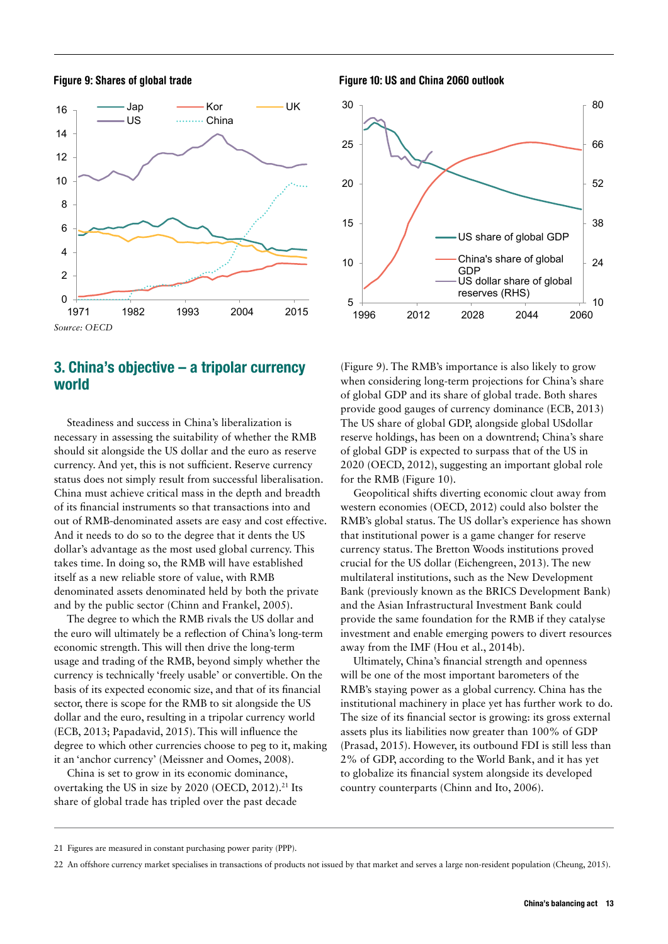<span id="page-12-0"></span>



### 3. China's objective – a tripolar currency world

Steadiness and success in China's liberalization is necessary in assessing the suitability of whether the RMB should sit alongside the US dollar and the euro as reserve currency. And yet, this is not sufficient. Reserve currency status does not simply result from successful liberalisation. China must achieve critical mass in the depth and breadth of its financial instruments so that transactions into and out of RMB-denominated assets are easy and cost effective. And it needs to do so to the degree that it dents the US dollar's advantage as the most used global currency. This takes time. In doing so, the RMB will have established itself as a new reliable store of value, with RMB denominated assets denominated held by both the private and by the public sector (Chinn and Frankel, 2005).

The degree to which the RMB rivals the US dollar and the euro will ultimately be a reflection of China's long-term economic strength. This will then drive the long-term usage and trading of the RMB, beyond simply whether the currency is technically 'freely usable' or convertible. On the basis of its expected economic size, and that of its financial sector, there is scope for the RMB to sit alongside the US dollar and the euro, resulting in a tripolar currency world (ECB, 2013; Papadavid, 2015). This will influence the degree to which other currencies choose to peg to it, making it an 'anchor currency' (Meissner and Oomes, 2008).

China is set to grow in its economic dominance, overtaking the US in size by 2020 (OECD, 2012).<sup>21</sup> Its share of global trade has tripled over the past decade

Figure 9: Shares of global trade Figure 10: US and China 2060 outlook



(Figure 9). The RMB's importance is also likely to grow when considering long-term projections for China's share of global GDP and its share of global trade. Both shares provide good gauges of currency dominance (ECB, 2013) The US share of global GDP, alongside global USdollar reserve holdings, has been on a downtrend; China's share of global GDP is expected to surpass that of the US in 2020 (OECD, 2012), suggesting an important global role for the RMB (Figure 10).

Geopolitical shifts diverting economic clout away from western economies (OECD, 2012) could also bolster the RMB's global status. The US dollar's experience has shown that institutional power is a game changer for reserve currency status. The Bretton Woods institutions proved crucial for the US dollar (Eichengreen, 2013). The new multilateral institutions, such as the New Development Bank (previously known as the BRICS Development Bank) and the Asian Infrastructural Investment Bank could provide the same foundation for the RMB if they catalyse investment and enable emerging powers to divert resources away from the IMF (Hou et al., 2014b).

Ultimately, China's financial strength and openness will be one of the most important barometers of the RMB's staying power as a global currency. China has the institutional machinery in place yet has further work to do. The size of its financial sector is growing: its gross external assets plus its liabilities now greater than 100% of GDP (Prasad, 2015). However, its outbound FDI is still less than 2% of GDP, according to the World Bank, and it has yet to globalize its financial system alongside its developed country counterparts (Chinn and Ito, 2006).

<sup>21</sup> Figures are measured in constant purchasing power parity (PPP).

<sup>22</sup> An offshore currency market specialises in transactions of products not issued by that market and serves a large non-resident population (Cheung, 2015).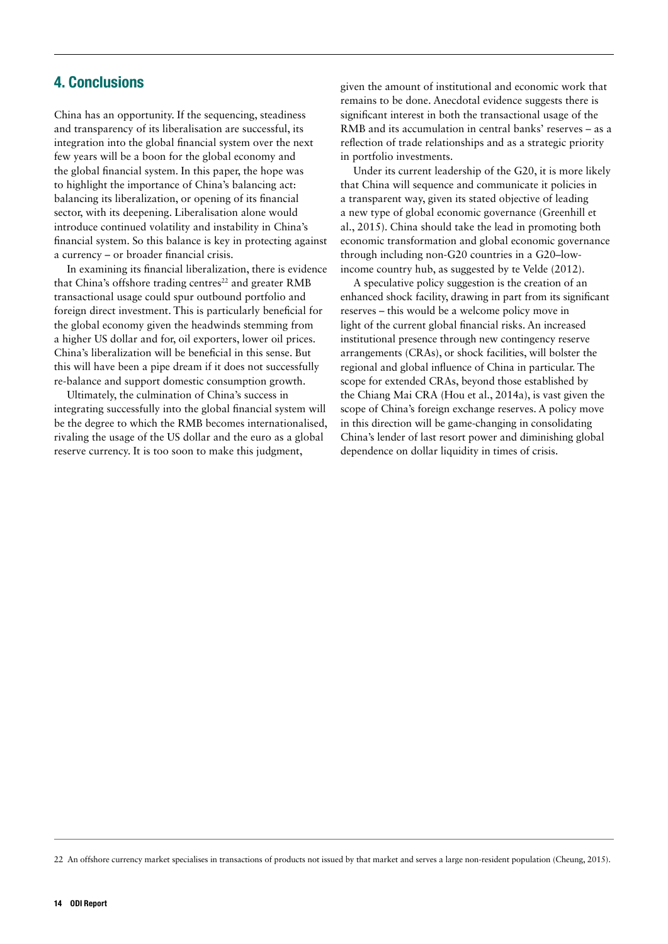### <span id="page-13-0"></span>4. Conclusions

China has an opportunity. If the sequencing, steadiness and transparency of its liberalisation are successful, its integration into the global financial system over the next few years will be a boon for the global economy and the global financial system. In this paper, the hope was to highlight the importance of China's balancing act: balancing its liberalization, or opening of its financial sector, with its deepening. Liberalisation alone would introduce continued volatility and instability in China's financial system. So this balance is key in protecting against a currency – or broader financial crisis.

In examining its financial liberalization, there is evidence that China's offshore trading centres<sup>22</sup> and greater RMB transactional usage could spur outbound portfolio and foreign direct investment. This is particularly beneficial for the global economy given the headwinds stemming from a higher US dollar and for, oil exporters, lower oil prices. China's liberalization will be beneficial in this sense. But this will have been a pipe dream if it does not successfully re-balance and support domestic consumption growth.

Ultimately, the culmination of China's success in integrating successfully into the global financial system will be the degree to which the RMB becomes internationalised, rivaling the usage of the US dollar and the euro as a global reserve currency. It is too soon to make this judgment,

given the amount of institutional and economic work that remains to be done. Anecdotal evidence suggests there is significant interest in both the transactional usage of the RMB and its accumulation in central banks' reserves – as a reflection of trade relationships and as a strategic priority in portfolio investments.

Under its current leadership of the G20, it is more likely that China will sequence and communicate it policies in a transparent way, given its stated objective of leading a new type of global economic governance (Greenhill et al., 2015). China should take the lead in promoting both economic transformation and global economic governance through including non-G20 countries in a G20–lowincome country hub, as suggested by te Velde (2012).

A speculative policy suggestion is the creation of an enhanced shock facility, drawing in part from its significant reserves – this would be a welcome policy move in light of the current global financial risks. An increased institutional presence through new contingency reserve arrangements (CRAs), or shock facilities, will bolster the regional and global influence of China in particular. The scope for extended CRAs, beyond those established by the Chiang Mai CRA (Hou et al., 2014a), is vast given the scope of China's foreign exchange reserves. A policy move in this direction will be game-changing in consolidating China's lender of last resort power and diminishing global dependence on dollar liquidity in times of crisis.

22 An offshore currency market specialises in transactions of products not issued by that market and serves a large non-resident population (Cheung, 2015).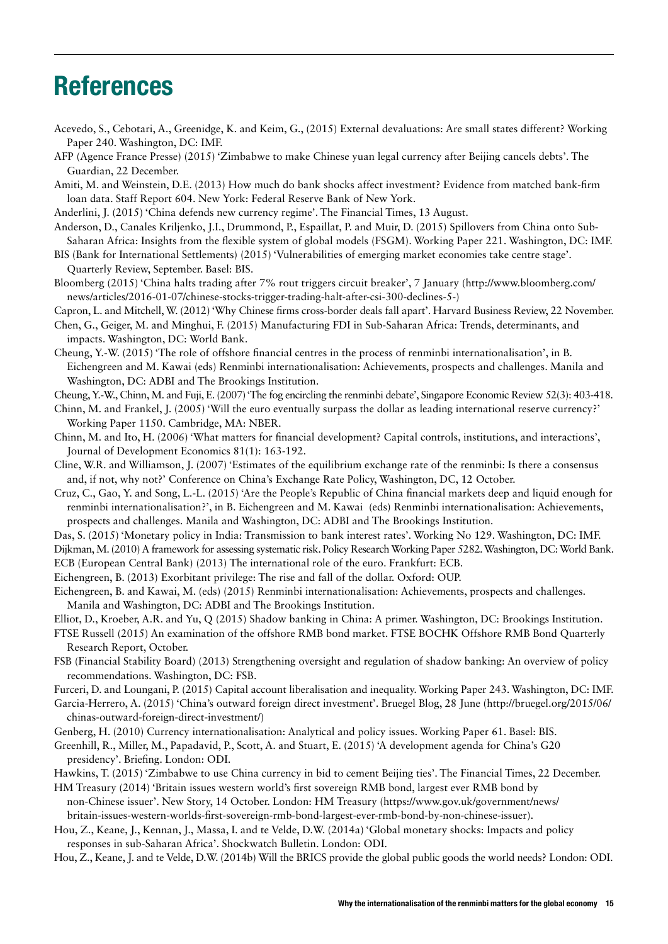# <span id="page-14-0"></span>References

- Acevedo, S., Cebotari, A., Greenidge, K. and Keim, G., (2015) External devaluations: Are small states different? Working Paper 240. Washington, DC: IMF.
- AFP (Agence France Presse) (2015) 'Zimbabwe to make Chinese yuan legal currency after Beijing cancels debts'. The Guardian, 22 December.
- Amiti, M. and Weinstein, D.E. (2013) How much do bank shocks affect investment? Evidence from matched bank-firm loan data. Staff Report 604. New York: Federal Reserve Bank of New York.
- Anderlini, J. (2015) 'China defends new currency regime'. The Financial Times, 13 August.
- Anderson, D., Canales Kriljenko, J.I., Drummond, P., Espaillat, P. and Muir, D. (2015) Spillovers from China onto Sub-Saharan Africa: Insights from the flexible system of global models (FSGM). Working Paper 221. Washington, DC: IMF.
- BIS (Bank for International Settlements) (2015) 'Vulnerabilities of emerging market economies take centre stage'. Quarterly Review, September. Basel: BIS.
- Bloomberg (2015) 'China halts trading after 7% rout triggers circuit breaker', 7 January (http://www.bloomberg.com/ news/articles/2016-01-07/chinese-stocks-trigger-trading-halt-after-csi-300-declines-5-)

Capron, L. and Mitchell, W. (2012) 'Why Chinese firms cross-border deals fall apart'. Harvard Business Review, 22 November.

- Chen, G., Geiger, M. and Minghui, F. (2015) Manufacturing FDI in Sub-Saharan Africa: Trends, determinants, and impacts. Washington, DC: World Bank.
- Cheung, Y.-W. (2015) 'The role of offshore financial centres in the process of renminbi internationalisation', in B. Eichengreen and M. Kawai (eds) Renminbi internationalisation: Achievements, prospects and challenges. Manila and Washington, DC: ADBI and The Brookings Institution.
- Cheung, Y.-W., Chinn, M. and Fuji, E. (2007) 'The fog encircling the renminbi debate', Singapore Economic Review 52(3): 403-418.
- Chinn, M. and Frankel, J. (2005) 'Will the euro eventually surpass the dollar as leading international reserve currency?' Working Paper 1150. Cambridge, MA: NBER.
- Chinn, M. and Ito, H. (2006) 'What matters for financial development? Capital controls, institutions, and interactions', Journal of Development Economics 81(1): 163-192.
- Cline, W.R. and Williamson, J. (2007) 'Estimates of the equilibrium exchange rate of the renminbi: Is there a consensus and, if not, why not?' Conference on China's Exchange Rate Policy, Washington, DC, 12 October.
- Cruz, C., Gao, Y. and Song, L.-L. (2015) 'Are the People's Republic of China financial markets deep and liquid enough for renminbi internationalisation?', in B. Eichengreen and M. Kawai (eds) Renminbi internationalisation: Achievements, prospects and challenges. Manila and Washington, DC: ADBI and The Brookings Institution.
- Das, S. (2015) 'Monetary policy in India: Transmission to bank interest rates'. Working No 129. Washington, DC: IMF.
- Dijkman, M. (2010) A framework for assessing systematic risk. Policy Research Working Paper 5282. Washington, DC: World Bank. ECB (European Central Bank) (2013) The international role of the euro. Frankfurt: ECB.
- Eichengreen, B. (2013) Exorbitant privilege: The rise and fall of the dollar. Oxford: OUP.
- Eichengreen, B. and Kawai, M. (eds) (2015) Renminbi internationalisation: Achievements, prospects and challenges. Manila and Washington, DC: ADBI and The Brookings Institution.
- Elliot, D., Kroeber, A.R. and Yu, Q (2015) Shadow banking in China: A primer. Washington, DC: Brookings Institution.
- FTSE Russell (2015) An examination of the offshore RMB bond market. FTSE BOCHK Offshore RMB Bond Quarterly Research Report, October.
- FSB (Financial Stability Board) (2013) Strengthening oversight and regulation of shadow banking: An overview of policy recommendations. Washington, DC: FSB.
- Furceri, D. and Loungani, P. (2015) Capital account liberalisation and inequality. Working Paper 243. Washington, DC: IMF.
- Garcia-Herrero, A. (2015) 'China's outward foreign direct investment'. Bruegel Blog, 28 June (http://bruegel.org/2015/06/ chinas-outward-foreign-direct-investment/)
- Genberg, H. (2010) Currency internationalisation: Analytical and policy issues. Working Paper 61. Basel: BIS.
- Greenhill, R., Miller, M., Papadavid, P., Scott, A. and Stuart, E. (2015) 'A development agenda for China's G20 presidency'. Briefing. London: ODI.
- Hawkins, T. (2015) 'Zimbabwe to use China currency in bid to cement Beijing ties'. The Financial Times, 22 December.
- HM Treasury (2014) 'Britain issues western world's first sovereign RMB bond, largest ever RMB bond by non-Chinese issuer'. New Story, 14 October. London: HM Treasury (https://www.gov.uk/government/news/ britain-issues-western-worlds-first-sovereign-rmb-bond-largest-ever-rmb-bond-by-non-chinese-issuer).
- Hou, Z., Keane, J., Kennan, J., Massa, I. and te Velde, D.W. (2014a) 'Global monetary shocks: Impacts and policy responses in sub-Saharan Africa'. Shockwatch Bulletin. London: ODI.

Hou, Z., Keane, J. and te Velde, D.W. (2014b) Will the BRICS provide the global public goods the world needs? London: ODI.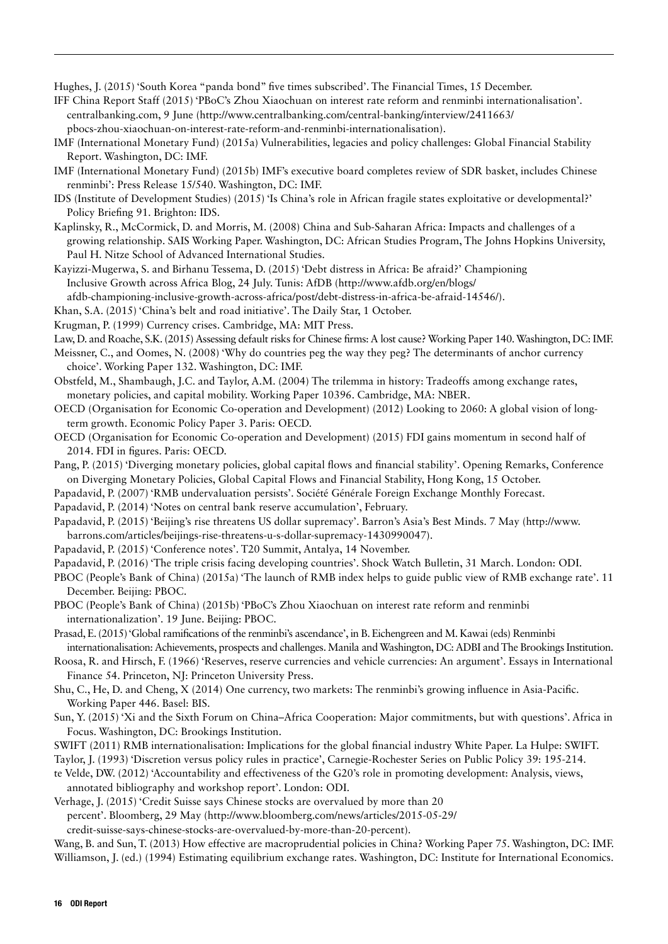Hughes, J. (2015) 'South Korea "panda bond" five times subscribed'. The Financial Times, 15 December.

- IFF China Report Staff (2015) 'PBoC's Zhou Xiaochuan on interest rate reform and renminbi internationalisation'. centralbanking.com, 9 June (http://www.centralbanking.com/central-banking/interview/2411663/ pbocs-zhou-xiaochuan-on-interest-rate-reform-and-renminbi-internationalisation).
- IMF (International Monetary Fund) (2015a) Vulnerabilities, legacies and policy challenges: Global Financial Stability Report. Washington, DC: IMF.
- IMF (International Monetary Fund) (2015b) IMF's executive board completes review of SDR basket, includes Chinese renminbi': Press Release 15/540. Washington, DC: IMF.
- IDS (Institute of Development Studies) (2015) 'Is China's role in African fragile states exploitative or developmental?' Policy Briefing 91. Brighton: IDS.
- Kaplinsky, R., McCormick, D. and Morris, M. (2008) China and Sub-Saharan Africa: Impacts and challenges of a growing relationship. SAIS Working Paper. Washington, DC: African Studies Program, The Johns Hopkins University, Paul H. Nitze School of Advanced International Studies.
- Kayizzi-Mugerwa, S. and Birhanu Tessema, D. (2015) 'Debt distress in Africa: Be afraid?' Championing Inclusive Growth across Africa Blog, 24 July. Tunis: AfDB (http://www.afdb.org/en/blogs/
- afdb-championing-inclusive-growth-across-africa/post/debt-distress-in-africa-be-afraid-14546/).
- Khan, S.A. (2015) 'China's belt and road initiative'. The Daily Star, 1 October.
- Krugman, P. (1999) Currency crises. Cambridge, MA: MIT Press.
- Law, D. and Roache, S.K. (2015) Assessing default risks for Chinese firms: A lost cause? Working Paper 140. Washington, DC: IMF.
- Meissner, C., and Oomes, N. (2008) 'Why do countries peg the way they peg? The determinants of anchor currency choice'. Working Paper 132. Washington, DC: IMF.
- Obstfeld, M., Shambaugh, J.C. and Taylor, A.M. (2004) The trilemma in history: Tradeoffs among exchange rates, monetary policies, and capital mobility. Working Paper 10396. Cambridge, MA: NBER.
- OECD (Organisation for Economic Co-operation and Development) (2012) Looking to 2060: A global vision of longterm growth. Economic Policy Paper 3. Paris: OECD.
- OECD (Organisation for Economic Co-operation and Development) (2015) FDI gains momentum in second half of 2014. FDI in figures. Paris: OECD.
- Pang, P. (2015) 'Diverging monetary policies, global capital flows and financial stability'. Opening Remarks, Conference on Diverging Monetary Policies, Global Capital Flows and Financial Stability, Hong Kong, 15 October.
- Papadavid, P. (2007) 'RMB undervaluation persists'. Société Générale Foreign Exchange Monthly Forecast.
- Papadavid, P. (2014) 'Notes on central bank reserve accumulation', February.
- Papadavid, P. (2015) 'Beijing's rise threatens US dollar supremacy'. Barron's Asia's Best Minds. 7 May (http://www. barrons.com/articles/beijings-rise-threatens-u-s-dollar-supremacy-1430990047).
- Papadavid, P. (2015) 'Conference notes'. T20 Summit, Antalya, 14 November.
- Papadavid, P. (2016) 'The triple crisis facing developing countries'. Shock Watch Bulletin, 31 March. London: ODI.
- PBOC (People's Bank of China) (2015a) 'The launch of RMB index helps to guide public view of RMB exchange rate'. 11 December. Beijing: PBOC.
- PBOC (People's Bank of China) (2015b) 'PBoC's Zhou Xiaochuan on interest rate reform and renminbi internationalization'. 19 June. Beijing: PBOC.
- Prasad, E. (2015) 'Global ramifications of the renminbi's ascendance', in B. Eichengreen and M. Kawai (eds) Renminbi internationalisation: Achievements, prospects and challenges. Manila and Washington, DC: ADBI and The Brookings Institution.
- Roosa, R. and Hirsch, F. (1966) 'Reserves, reserve currencies and vehicle currencies: An argument'. Essays in International Finance 54. Princeton, NJ: Princeton University Press.
- Shu, C., He, D. and Cheng, X (2014) One currency, two markets: The renminbi's growing influence in Asia-Pacific. Working Paper 446. Basel: BIS.
- Sun, Y. (2015) 'Xi and the Sixth Forum on China–Africa Cooperation: Major commitments, but with questions'. Africa in Focus. Washington, DC: Brookings Institution.
- SWIFT (2011) RMB internationalisation: Implications for the global financial industry White Paper. La Hulpe: SWIFT.
- Taylor, J. (1993) 'Discretion versus policy rules in practice', Carnegie-Rochester Series on Public Policy 39: 195-214.
- te Velde, DW. (2012) 'Accountability and effectiveness of the G20's role in promoting development: Analysis, views, annotated bibliography and workshop report'. London: ODI.
- Verhage, J. (2015) 'Credit Suisse says Chinese stocks are overvalued by more than 20 percent'. Bloomberg, 29 May (http://www.bloomberg.com/news/articles/2015-05-29/
	- credit-suisse-says-chinese-stocks-are-overvalued-by-more-than-20-percent).

Wang, B. and Sun, T. (2013) How effective are macroprudential policies in China? Working Paper 75. Washington, DC: IMF. Williamson, J. (ed.) (1994) Estimating equilibrium exchange rates. Washington, DC: Institute for International Economics.